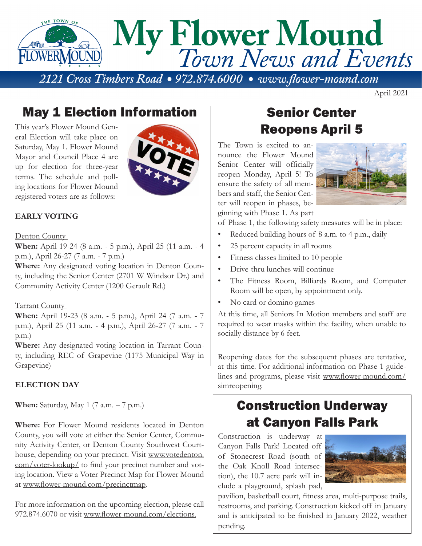

April 2021

### May 1 Election Information

This year's Flower Mound General Election will take place on Saturday, May 1. Flower Mound Mayor and Council Place 4 are up for election for three-year terms. The schedule and polling locations for Flower Mound registered voters are as follows:



#### **EARLY VOTING**

#### Denton County

**When:** April 19-24 (8 a.m. - 5 p.m.), April 25 (11 a.m. - 4 p.m.), April 26-27 (7 a.m. - 7 p.m.)

**Where:** Any designated voting location in Denton County, including the Senior Center (2701 W Windsor Dr.) and Community Activity Center (1200 Gerault Rd.)

#### Tarrant County

**When:** April 19-23 (8 a.m. - 5 p.m.), April 24 (7 a.m. - 7 p.m.), April 25 (11 a.m. - 4 p.m.), April 26-27 (7 a.m. - 7 p.m.)

**Where:** Any designated voting location in Tarrant County, including REC of Grapevine (1175 Municipal Way in Grapevine)

#### **ELECTION DAY**

**When:** Saturday, May 1 (7 a.m. – 7 p.m.)

**Where:** For Flower Mound residents located in Denton County, you will vote at either the Senior Center, Community Activity Center, or Denton County Southwest Courthouse, depending on your precinct. Visit www.votedenton. com/voter-lookup/ to find your precinct number and voting location. View a Voter Precinct Map for Flower Mound at www.flower-mound.com/precinctmap.

For more information on the upcoming election, please call 972.874.6070 or visit www.flower-mound.com/elections.

# Senior Center Reopens April 5

The Town is excited to announce the Flower Mound Senior Center will officially reopen Monday, April 5! To ensure the safety of all members and staff, the Senior Center will reopen in phases, beginning with Phase 1. As part



of Phase 1, the following safety measures will be in place:

- Reduced building hours of 8 a.m. to 4 p.m., daily
- 25 percent capacity in all rooms
- Fitness classes limited to 10 people
- Drive-thru lunches will continue
- The Fitness Room, Billiards Room, and Computer Room will be open, by appointment only.
- No card or domino games

At this time, all Seniors In Motion members and staff are required to wear masks within the facility, when unable to socially distance by 6 feet.

Reopening dates for the subsequent phases are tentative, at this time. For additional information on Phase 1 guidelines and programs, please visit www.flower-mound.com/ simreopening.

# Construction Underway at Canyon Falls Park

Construction is underway at Canyon Falls Park! Located off of Stonecrest Road (south of the Oak Knoll Road intersection), the 10.7 acre park will include a playground, splash pad,



pavilion, basketball court, fitness area, multi-purpose trails, restrooms, and parking. Construction kicked off in January and is anticipated to be finished in January 2022, weather pending.